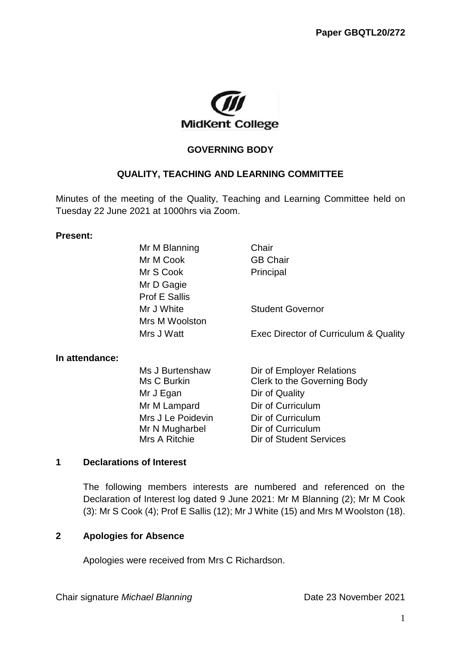

### **GOVERNING BODY**

### **QUALITY, TEACHING AND LEARNING COMMITTEE**

Minutes of the meeting of the Quality, Teaching and Learning Committee held on Tuesday 22 June 2021 at 1000hrs via Zoom.

#### **Present:**

|                | Mr M Blanning        | Chair                                 |
|----------------|----------------------|---------------------------------------|
|                | Mr M Cook            | <b>GB Chair</b>                       |
|                | Mr S Cook            | Principal                             |
|                | Mr D Gagie           |                                       |
|                | <b>Prof E Sallis</b> |                                       |
|                | Mr J White           | <b>Student Governor</b>               |
|                | Mrs M Woolston       |                                       |
|                | Mrs J Watt           | Exec Director of Curriculum & Quality |
| In attendance: |                      |                                       |
|                | Ms J Burtenshaw      | Dir of Employer Relations             |
|                | Ms C Burkin          | Clerk to the Governing Body           |
|                | Mr J Egan            | Dir of Quality                        |
|                | Mr M Lampard         | Dir of Curriculum                     |
|                | Mrs J Le Poidevin    | Dir of Curriculum                     |
|                | Mr N Mugharbel       | Dir of Curriculum                     |
|                | Mrs A Ritchie        | Dir of Student Services               |

#### **1 Declarations of Interest**

The following members interests are numbered and referenced on the Declaration of Interest log dated 9 June 2021: Mr M Blanning (2); Mr M Cook (3): Mr S Cook (4); Prof E Sallis (12); Mr J White (15) and Mrs M Woolston (18).

#### **2 Apologies for Absence**

Apologies were received from Mrs C Richardson.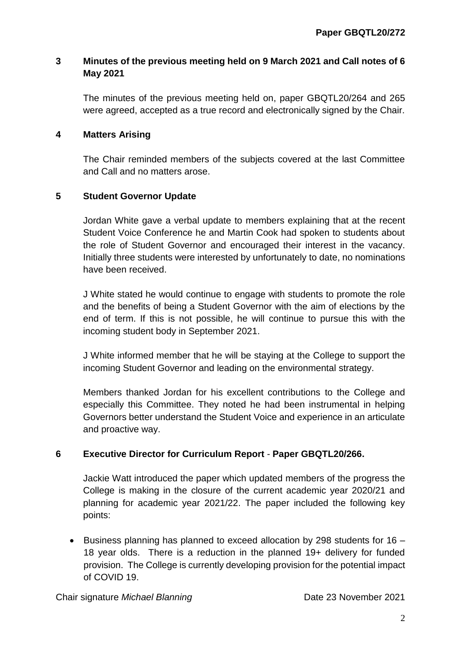# **3 Minutes of the previous meeting held on 9 March 2021 and Call notes of 6 May 2021**

The minutes of the previous meeting held on, paper GBQTL20/264 and 265 were agreed, accepted as a true record and electronically signed by the Chair.

# **4 Matters Arising**

The Chair reminded members of the subjects covered at the last Committee and Call and no matters arose.

# **5 Student Governor Update**

Jordan White gave a verbal update to members explaining that at the recent Student Voice Conference he and Martin Cook had spoken to students about the role of Student Governor and encouraged their interest in the vacancy. Initially three students were interested by unfortunately to date, no nominations have been received.

J White stated he would continue to engage with students to promote the role and the benefits of being a Student Governor with the aim of elections by the end of term. If this is not possible, he will continue to pursue this with the incoming student body in September 2021.

J White informed member that he will be staying at the College to support the incoming Student Governor and leading on the environmental strategy.

Members thanked Jordan for his excellent contributions to the College and especially this Committee. They noted he had been instrumental in helping Governors better understand the Student Voice and experience in an articulate and proactive way.

# **6 Executive Director for Curriculum Report** - **Paper GBQTL20/266.**

Jackie Watt introduced the paper which updated members of the progress the College is making in the closure of the current academic year 2020/21 and planning for academic year 2021/22. The paper included the following key points:

**Business planning has planned to exceed allocation by 298 students for 16 –** 18 year olds. There is a reduction in the planned 19+ delivery for funded provision. The College is currently developing provision for the potential impact of COVID 19.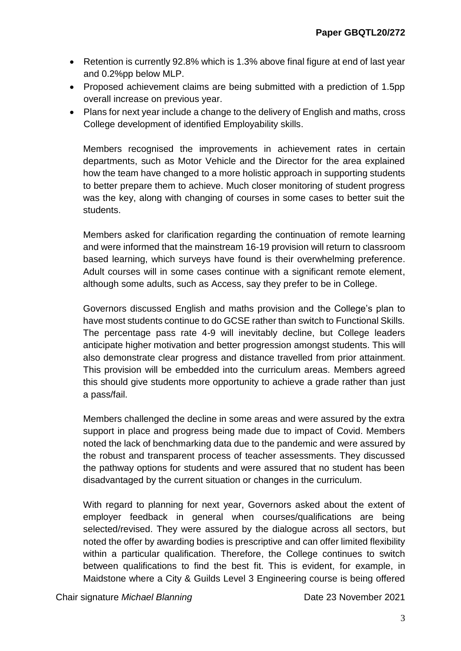- Retention is currently 92.8% which is 1.3% above final figure at end of last year and 0.2%pp below MLP.
- Proposed achievement claims are being submitted with a prediction of 1.5pp overall increase on previous year.
- Plans for next year include a change to the delivery of English and maths, cross College development of identified Employability skills.

Members recognised the improvements in achievement rates in certain departments, such as Motor Vehicle and the Director for the area explained how the team have changed to a more holistic approach in supporting students to better prepare them to achieve. Much closer monitoring of student progress was the key, along with changing of courses in some cases to better suit the students.

Members asked for clarification regarding the continuation of remote learning and were informed that the mainstream 16-19 provision will return to classroom based learning, which surveys have found is their overwhelming preference. Adult courses will in some cases continue with a significant remote element, although some adults, such as Access, say they prefer to be in College.

Governors discussed English and maths provision and the College's plan to have most students continue to do GCSE rather than switch to Functional Skills. The percentage pass rate 4-9 will inevitably decline, but College leaders anticipate higher motivation and better progression amongst students. This will also demonstrate clear progress and distance travelled from prior attainment. This provision will be embedded into the curriculum areas. Members agreed this should give students more opportunity to achieve a grade rather than just a pass/fail.

Members challenged the decline in some areas and were assured by the extra support in place and progress being made due to impact of Covid. Members noted the lack of benchmarking data due to the pandemic and were assured by the robust and transparent process of teacher assessments. They discussed the pathway options for students and were assured that no student has been disadvantaged by the current situation or changes in the curriculum.

With regard to planning for next year, Governors asked about the extent of employer feedback in general when courses/qualifications are being selected/revised. They were assured by the dialogue across all sectors, but noted the offer by awarding bodies is prescriptive and can offer limited flexibility within a particular qualification. Therefore, the College continues to switch between qualifications to find the best fit. This is evident, for example, in Maidstone where a City & Guilds Level 3 Engineering course is being offered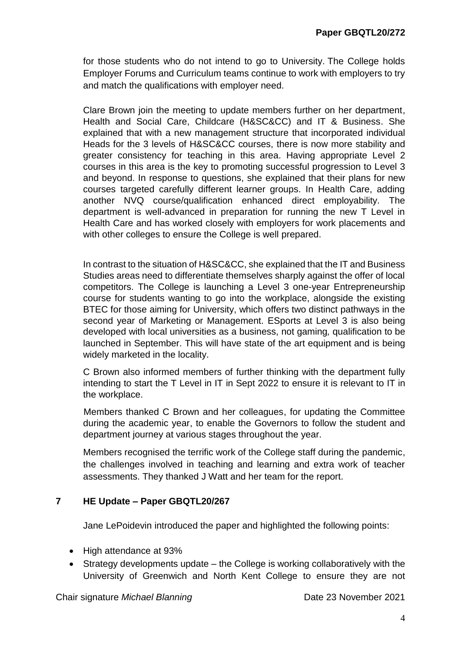for those students who do not intend to go to University. The College holds Employer Forums and Curriculum teams continue to work with employers to try and match the qualifications with employer need.

Clare Brown join the meeting to update members further on her department, Health and Social Care, Childcare (H&SC&CC) and IT & Business. She explained that with a new management structure that incorporated individual Heads for the 3 levels of H&SC&CC courses, there is now more stability and greater consistency for teaching in this area. Having appropriate Level 2 courses in this area is the key to promoting successful progression to Level 3 and beyond. In response to questions, she explained that their plans for new courses targeted carefully different learner groups. In Health Care, adding another NVQ course/qualification enhanced direct employability. The department is well-advanced in preparation for running the new T Level in Health Care and has worked closely with employers for work placements and with other colleges to ensure the College is well prepared.

In contrast to the situation of H&SC&CC, she explained that the IT and Business Studies areas need to differentiate themselves sharply against the offer of local competitors. The College is launching a Level 3 one-year Entrepreneurship course for students wanting to go into the workplace, alongside the existing BTEC for those aiming for University, which offers two distinct pathways in the second year of Marketing or Management. ESports at Level 3 is also being developed with local universities as a business, not gaming*,* qualification to be launched in September. This will have state of the art equipment and is being widely marketed in the locality.

C Brown also informed members of further thinking with the department fully intending to start the T Level in IT in Sept 2022 to ensure it is relevant to IT in the workplace.

Members thanked C Brown and her colleagues, for updating the Committee during the academic year, to enable the Governors to follow the student and department journey at various stages throughout the year.

Members recognised the terrific work of the College staff during the pandemic, the challenges involved in teaching and learning and extra work of teacher assessments. They thanked J Watt and her team for the report.

# **7 HE Update – Paper GBQTL20/267**

Jane LePoidevin introduced the paper and highlighted the following points:

- High attendance at 93%
- Strategy developments update the College is working collaboratively with the University of Greenwich and North Kent College to ensure they are not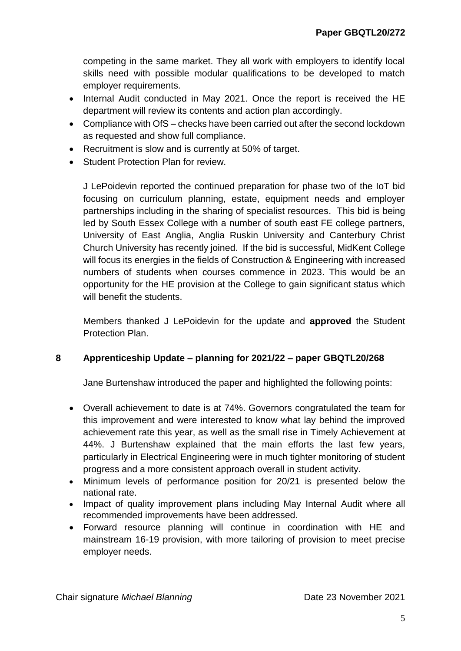competing in the same market. They all work with employers to identify local skills need with possible modular qualifications to be developed to match employer requirements.

- Internal Audit conducted in May 2021. Once the report is received the HE department will review its contents and action plan accordingly.
- Compliance with OfS checks have been carried out after the second lockdown as requested and show full compliance.
- Recruitment is slow and is currently at 50% of target.
- Student Protection Plan for review.

J LePoidevin reported the continued preparation for phase two of the IoT bid focusing on curriculum planning, estate, equipment needs and employer partnerships including in the sharing of specialist resources. This bid is being led by South Essex College with a number of south east FE college partners, University of East Anglia, Anglia Ruskin University and Canterbury Christ Church University has recently joined. If the bid is successful, MidKent College will focus its energies in the fields of Construction & Engineering with increased numbers of students when courses commence in 2023. This would be an opportunity for the HE provision at the College to gain significant status which will benefit the students.

Members thanked J LePoidevin for the update and **approved** the Student Protection Plan.

# **8 Apprenticeship Update – planning for 2021/22 – paper GBQTL20/268**

Jane Burtenshaw introduced the paper and highlighted the following points:

- Overall achievement to date is at 74%. Governors congratulated the team for this improvement and were interested to know what lay behind the improved achievement rate this year, as well as the small rise in Timely Achievement at 44%. J Burtenshaw explained that the main efforts the last few years, particularly in Electrical Engineering were in much tighter monitoring of student progress and a more consistent approach overall in student activity.
- Minimum levels of performance position for 20/21 is presented below the national rate.
- Impact of quality improvement plans including May Internal Audit where all recommended improvements have been addressed.
- Forward resource planning will continue in coordination with HE and mainstream 16-19 provision, with more tailoring of provision to meet precise employer needs.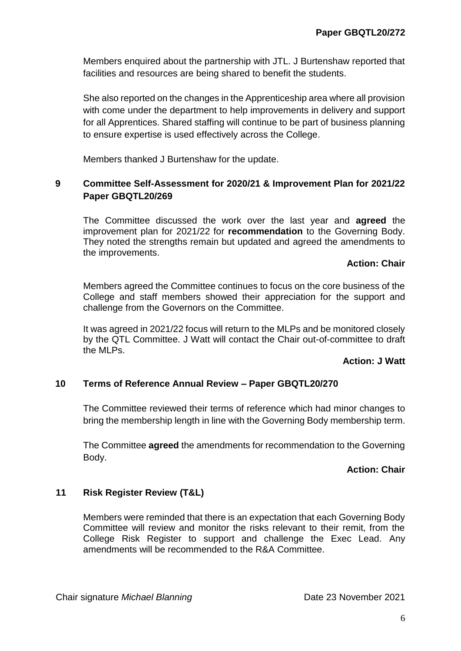Members enquired about the partnership with JTL. J Burtenshaw reported that facilities and resources are being shared to benefit the students.

She also reported on the changes in the Apprenticeship area where all provision with come under the department to help improvements in delivery and support for all Apprentices. Shared staffing will continue to be part of business planning to ensure expertise is used effectively across the College.

Members thanked J Burtenshaw for the update.

# **9 Committee Self-Assessment for 2020/21 & Improvement Plan for 2021/22 Paper GBQTL20/269**

The Committee discussed the work over the last year and **agreed** the improvement plan for 2021/22 for **recommendation** to the Governing Body. They noted the strengths remain but updated and agreed the amendments to the improvements.

### **Action: Chair**

Members agreed the Committee continues to focus on the core business of the College and staff members showed their appreciation for the support and challenge from the Governors on the Committee.

It was agreed in 2021/22 focus will return to the MLPs and be monitored closely by the QTL Committee. J Watt will contact the Chair out-of-committee to draft the MLPs.

#### **Action: J Watt**

#### **10 Terms of Reference Annual Review – Paper GBQTL20/270**

The Committee reviewed their terms of reference which had minor changes to bring the membership length in line with the Governing Body membership term.

The Committee **agreed** the amendments for recommendation to the Governing Body.

### **Action: Chair**

# **11 Risk Register Review (T&L)**

Members were reminded that there is an expectation that each Governing Body Committee will review and monitor the risks relevant to their remit, from the College Risk Register to support and challenge the Exec Lead. Any amendments will be recommended to the R&A Committee.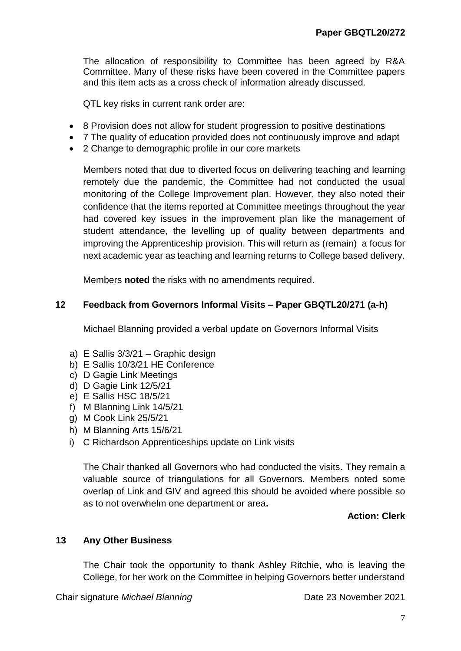The allocation of responsibility to Committee has been agreed by R&A Committee. Many of these risks have been covered in the Committee papers and this item acts as a cross check of information already discussed.

QTL key risks in current rank order are:

- 8 Provision does not allow for student progression to positive destinations
- 7 The quality of education provided does not continuously improve and adapt
- 2 Change to demographic profile in our core markets

Members noted that due to diverted focus on delivering teaching and learning remotely due the pandemic, the Committee had not conducted the usual monitoring of the College Improvement plan. However, they also noted their confidence that the items reported at Committee meetings throughout the year had covered key issues in the improvement plan like the management of student attendance, the levelling up of quality between departments and improving the Apprenticeship provision. This will return as (remain) a focus for next academic year as teaching and learning returns to College based delivery.

Members **noted** the risks with no amendments required.

### **12 Feedback from Governors Informal Visits – Paper GBQTL20/271 (a-h)**

Michael Blanning provided a verbal update on Governors Informal Visits

- a) E Sallis 3/3/21 Graphic design
- b) E Sallis 10/3/21 HE Conference
- c) D Gagie Link Meetings
- d) D Gagie Link 12/5/21
- e) E Sallis HSC 18/5/21
- f) M Blanning Link 14/5/21
- g) M Cook Link 25/5/21
- h) M Blanning Arts 15/6/21
- i) C Richardson Apprenticeships update on Link visits

The Chair thanked all Governors who had conducted the visits. They remain a valuable source of triangulations for all Governors. Members noted some overlap of Link and GIV and agreed this should be avoided where possible so as to not overwhelm one department or area**.**

# **Action: Clerk**

#### **13 Any Other Business**

The Chair took the opportunity to thank Ashley Ritchie, who is leaving the College, for her work on the Committee in helping Governors better understand